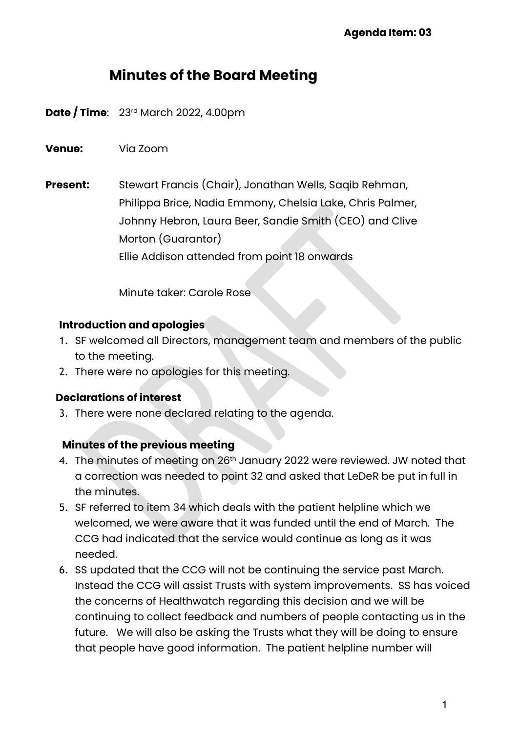# **Minutes of the Board Meeting**

**Date / Time**: 23¤d March 2022, 4.00pm

**Venue:** Via Zoom

**Present:** Stewart Francis (Chair), Jonathan Wells, Saqib Rehman, Philippa Brice, Nadia Emmony, Chelsia Lake, Chris Palmer, Johnny Hebron, Laura Beer, Sandie Smith (CEO) and Clive Morton (Guarantor) Ellie Addison attended from point 18 onwards

Minute taker: Carole Rose

#### **Introduction and apologies**

- 1. SF welcomed all Directors, management team and members of the public to the meeting.
- 2. There were no apologies for this meeting.

#### **Declarations of interest**

3. There were none declared relating to the agenda.

#### **Minutes of the previous meeting**

- 4. The minutes of meeting on 26<sup>th</sup> January 2022 were reviewed. JW noted that a correction was needed to point 32 and asked that LeDeR be put in full in the minutes.
- 5. SF referred to item 34 which deals with the patient helpline which we welcomed, we were aware that it was funded until the end of March. The CCG had indicated that the service would continue as long as it was needed.
- 6. SS updated that the CCG will not be continuing the service past March. Instead the CCG will assist Trusts with system improvements. SS has voiced the concerns of Healthwatch regarding this decision and we will be continuing to collect feedback and numbers of people contacting us in the future. We will also be asking the Trusts what they will be doing to ensure that people have good information. The patient helpline number will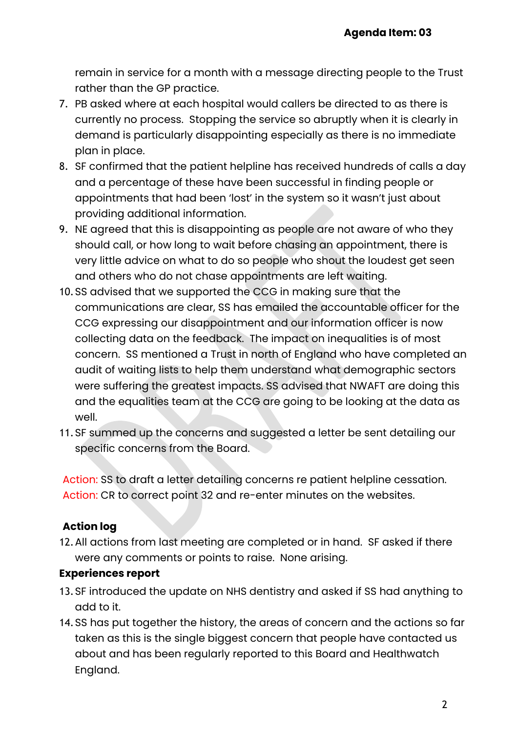remain in service for a month with a message directing people to the Trust rather than the GP practice.

- 7. PB asked where at each hospital would callers be directed to as there is currently no process. Stopping the service so abruptly when it is clearly in demand is particularly disappointing especially as there is no immediate plan in place.
- 8. SF confirmed that the patient helpline has received hundreds of calls a day and a percentage of these have been successful in finding people or appointments that had been 'lost' in the system so it wasn't just about providing additional information.
- 9. NE agreed that this is disappointing as people are not aware of who they should call, or how long to wait before chasing an appointment, there is very little advice on what to do so people who shout the loudest get seen and others who do not chase appointments are left waiting.
- 10.SS advised that we supported the CCG in making sure that the communications are clear, SS has emailed the accountable officer for the CCG expressing our disappointment and our information officer is now collecting data on the feedback. The impact on inequalities is of most concern. SS mentioned a Trust in north of England who have completed an audit of waiting lists to help them understand what demographic sectors were suffering the greatest impacts. SS advised that NWAFT are doing this and the equalities team at the CCG are going to be looking at the data as well.
- 11.SF summed up the concerns and suggested a letter be sent detailing our specific concerns from the Board.

Action: SS to draft a letter detailing concerns re patient helpline cessation. Action: CR to correct point 32 and re-enter minutes on the websites.

# **Action log**

12.All actions from last meeting are completed or in hand. SF asked if there were any comments or points to raise. None arising.

## **Experiences report**

- 13.SF introduced the update on NHS dentistry and asked if SS had anything to add to it.
- 14.SS has put together the history, the areas of concern and the actions so far taken as this is the single biggest concern that people have contacted us about and has been regularly reported to this Board and Healthwatch England.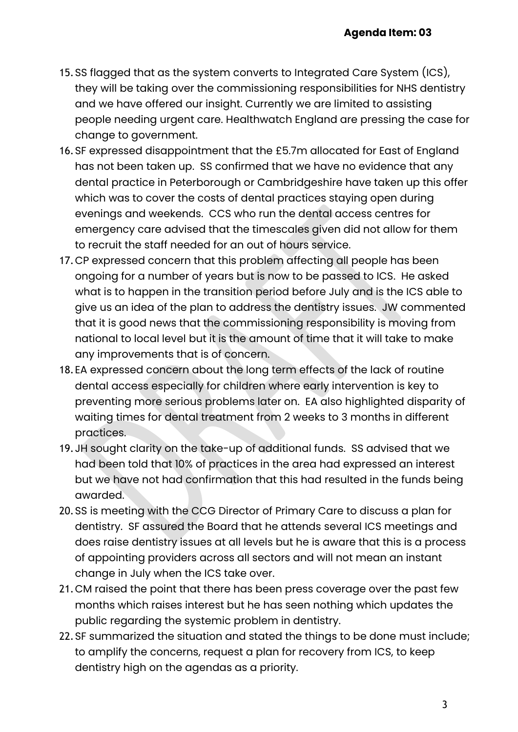- 15.SS flagged that as the system converts to Integrated Care System (ICS), they will be taking over the commissioning responsibilities for NHS dentistry and we have offered our insight. Currently we are limited to assisting people needing urgent care. Healthwatch England are pressing the case for change to government.
- 16.SF expressed disappointment that the £5.7m allocated for East of England has not been taken up. SS confirmed that we have no evidence that any dental practice in Peterborough or Cambridgeshire have taken up this offer which was to cover the costs of dental practices staying open during evenings and weekends. CCS who run the dental access centres for emergency care advised that the timescales given did not allow for them to recruit the staff needed for an out of hours service.
- 17.CP expressed concern that this problem affecting all people has been ongoing for a number of years but is now to be passed to ICS. He asked what is to happen in the transition period before July and is the ICS able to give us an idea of the plan to address the dentistry issues. JW commented that it is good news that the commissioning responsibility is moving from national to local level but it is the amount of time that it will take to make any improvements that is of concern.
- 18.EA expressed concern about the long term effects of the lack of routine dental access especially for children where early intervention is key to preventing more serious problems later on. EA also highlighted disparity of waiting times for dental treatment from 2 weeks to 3 months in different practices.
- 19.JH sought clarity on the take-up of additional funds. SS advised that we had been told that 10% of practices in the area had expressed an interest but we have not had confirmation that this had resulted in the funds being awarded.
- 20.SS is meeting with the CCG Director of Primary Care to discuss a plan for dentistry. SF assured the Board that he attends several ICS meetings and does raise dentistry issues at all levels but he is aware that this is a process of appointing providers across all sectors and will not mean an instant change in July when the ICS take over.
- 21.CM raised the point that there has been press coverage over the past few months which raises interest but he has seen nothing which updates the public regarding the systemic problem in dentistry.
- 22.SF summarized the situation and stated the things to be done must include; to amplify the concerns, request a plan for recovery from ICS, to keep dentistry high on the agendas as a priority.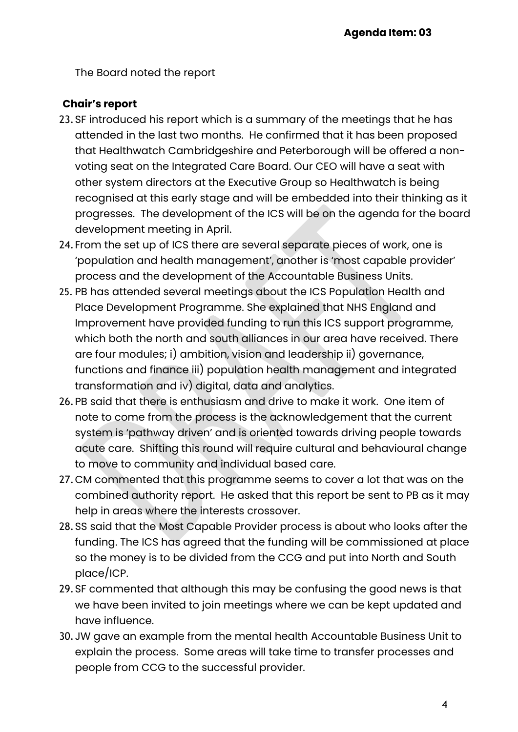The Board noted the report

## **Chair's report**

- 23.SF introduced his report which is a summary of the meetings that he has attended in the last two months. He confirmed that it has been proposed that Healthwatch Cambridgeshire and Peterborough will be offered a nonvoting seat on the Integrated Care Board. Our CEO will have a seat with other system directors at the Executive Group so Healthwatch is being recognised at this early stage and will be embedded into their thinking as it progresses. The development of the ICS will be on the agenda for the board development meeting in April.
- 24.From the set up of ICS there are several separate pieces of work, one is 'population and health management', another is 'most capable provider' process and the development of the Accountable Business Units.
- 25. PB has attended several meetings about the ICS Population Health and Place Development Programme. She explained that NHS England and Improvement have provided funding to run this ICS support programme, which both the north and south alliances in our area have received. There are four modules; i) ambition, vision and leadership ii) governance, functions and finance iii) population health management and integrated transformation and iv) digital, data and analytics.
- 26.PB said that there is enthusiasm and drive to make it work. One item of note to come from the process is the acknowledgement that the current system is 'pathway driven' and is oriented towards driving people towards acute care. Shifting this round will require cultural and behavioural change to move to community and individual based care.
- 27.CM commented that this programme seems to cover a lot that was on the combined authority report. He asked that this report be sent to PB as it may help in areas where the interests crossover.
- 28.SS said that the Most Capable Provider process is about who looks after the funding. The ICS has agreed that the funding will be commissioned at place so the money is to be divided from the CCG and put into North and South place/ICP.
- 29.SF commented that although this may be confusing the good news is that we have been invited to join meetings where we can be kept updated and have influence.
- 30.JW gave an example from the mental health Accountable Business Unit to explain the process. Some areas will take time to transfer processes and people from CCG to the successful provider.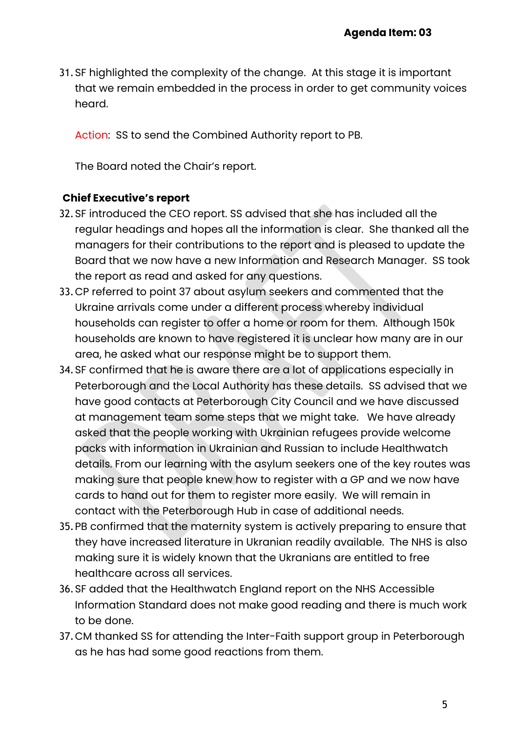31.SF highlighted the complexity of the change. At this stage it is important that we remain embedded in the process in order to get community voices heard.

Action: SS to send the Combined Authority report to PB.

The Board noted the Chair's report.

## **Chief Executive's report**

- 32.SF introduced the CEO report. SS advised that she has included all the regular headings and hopes all the information is clear. She thanked all the managers for their contributions to the report and is pleased to update the Board that we now have a new Information and Research Manager. SS took the report as read and asked for any questions.
- 33.CP referred to point 37 about asylum seekers and commented that the Ukraine arrivals come under a different process whereby individual households can register to offer a home or room for them. Although 150k households are known to have registered it is unclear how many are in our area, he asked what our response might be to support them.
- 34.SF confirmed that he is aware there are a lot of applications especially in Peterborough and the Local Authority has these details. SS advised that we have good contacts at Peterborough City Council and we have discussed at management team some steps that we might take. We have already asked that the people working with Ukrainian refugees provide welcome packs with information in Ukrainian and Russian to include Healthwatch details. From our learning with the asylum seekers one of the key routes was making sure that people knew how to register with a GP and we now have cards to hand out for them to register more easily. We will remain in contact with the Peterborough Hub in case of additional needs.
- 35.PB confirmed that the maternity system is actively preparing to ensure that they have increased literature in Ukranian readily available. The NHS is also making sure it is widely known that the Ukranians are entitled to free healthcare across all services.
- 36.SF added that the Healthwatch England report on the NHS Accessible Information Standard does not make good reading and there is much work to be done.
- 37.CM thanked SS for attending the Inter-Faith support group in Peterborough as he has had some good reactions from them.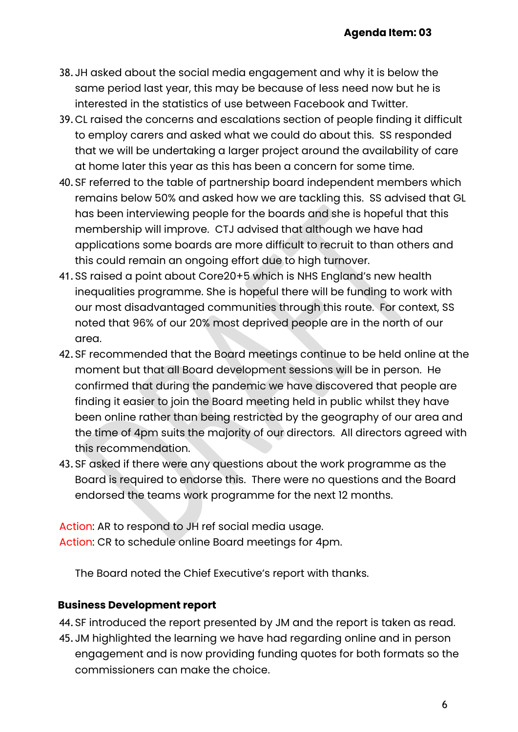- 38.JH asked about the social media engagement and why it is below the same period last year, this may be because of less need now but he is interested in the statistics of use between Facebook and Twitter.
- 39.CL raised the concerns and escalations section of people finding it difficult to employ carers and asked what we could do about this. SS responded that we will be undertaking a larger project around the availability of care at home later this year as this has been a concern for some time.
- 40.SF referred to the table of partnership board independent members which remains below 50% and asked how we are tackling this. SS advised that GL has been interviewing people for the boards and she is hopeful that this membership will improve. CTJ advised that although we have had applications some boards are more difficult to recruit to than others and this could remain an ongoing effort due to high turnover.
- 41.SS raised a point about Core20+5 which is NHS England's new health inequalities programme. She is hopeful there will be funding to work with our most disadvantaged communities through this route. For context, SS noted that 96% of our 20% most deprived people are in the north of our area.
- 42.SF recommended that the Board meetings continue to be held online at the moment but that all Board development sessions will be in person. He confirmed that during the pandemic we have discovered that people are finding it easier to join the Board meeting held in public whilst they have been online rather than being restricted by the geography of our area and the time of 4pm suits the majority of our directors. All directors agreed with this recommendation.
- 43.SF asked if there were any questions about the work programme as the Board is required to endorse this. There were no questions and the Board endorsed the teams work programme for the next 12 months.

Action: AR to respond to JH ref social media usage. Action: CR to schedule online Board meetings for 4pm.

The Board noted the Chief Executive's report with thanks.

## **Business Development report**

44.SF introduced the report presented by JM and the report is taken as read.

45.JM highlighted the learning we have had regarding online and in person engagement and is now providing funding quotes for both formats so the commissioners can make the choice.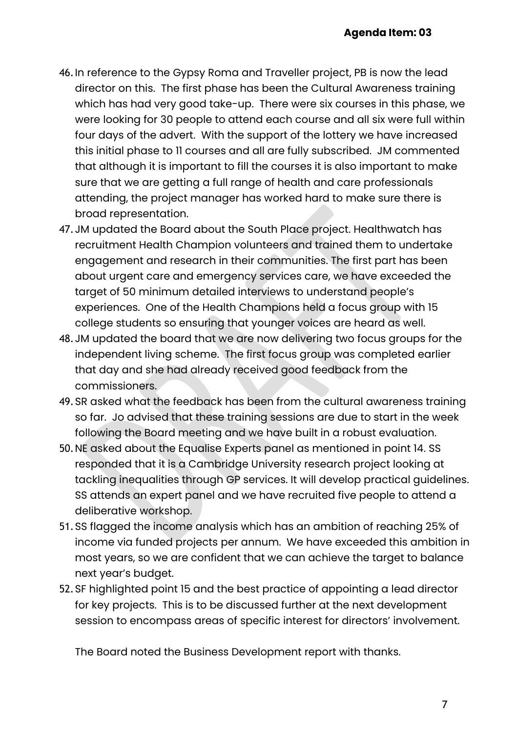- 46.In reference to the Gypsy Roma and Traveller project, PB is now the lead director on this. The first phase has been the Cultural Awareness training which has had very good take-up. There were six courses in this phase, we were looking for 30 people to attend each course and all six were full within four days of the advert. With the support of the lottery we have increased this initial phase to 11 courses and all are fully subscribed. JM commented that although it is important to fill the courses it is also important to make sure that we are getting a full range of health and care professionals attending, the project manager has worked hard to make sure there is broad representation.
- 47.JM updated the Board about the South Place project. Healthwatch has recruitment Health Champion volunteers and trained them to undertake engagement and research in their communities. The first part has been about urgent care and emergency services care, we have exceeded the target of 50 minimum detailed interviews to understand people's experiences. One of the Health Champions held a focus group with 15 college students so ensuring that younger voices are heard as well.
- 48.JM updated the board that we are now delivering two focus groups for the independent living scheme. The first focus group was completed earlier that day and she had already received good feedback from the commissioners.
- 49.SR asked what the feedback has been from the cultural awareness training so far. Jo advised that these training sessions are due to start in the week following the Board meeting and we have built in a robust evaluation.
- 50.NE asked about the Equalise Experts panel as mentioned in point 14. SS responded that it is a Cambridge University research project looking at tackling inequalities through GP services. It will develop practical guidelines. SS attends an expert panel and we have recruited five people to attend a deliberative workshop.
- 51.SS flagged the income analysis which has an ambition of reaching 25% of income via funded projects per annum. We have exceeded this ambition in most years, so we are confident that we can achieve the target to balance next year's budget.
- 52.SF highlighted point 15 and the best practice of appointing a lead director for key projects. This is to be discussed further at the next development session to encompass areas of specific interest for directors' involvement.

The Board noted the Business Development report with thanks.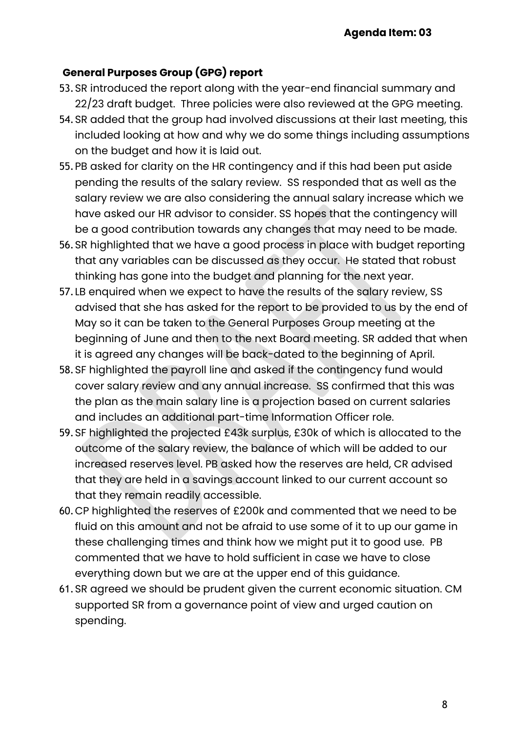# **General Purposes Group (GPG) report**

- 53.SR introduced the report along with the year-end financial summary and 22/23 draft budget. Three policies were also reviewed at the GPG meeting.
- 54.SR added that the group had involved discussions at their last meeting, this included looking at how and why we do some things including assumptions on the budget and how it is laid out.
- 55.PB asked for clarity on the HR contingency and if this had been put aside pending the results of the salary review. SS responded that as well as the salary review we are also considering the annual salary increase which we have asked our HR advisor to consider. SS hopes that the contingency will be a good contribution towards any changes that may need to be made.
- 56.SR highlighted that we have a good process in place with budget reporting that any variables can be discussed as they occur. He stated that robust thinking has gone into the budget and planning for the next year.
- 57.LB enquired when we expect to have the results of the salary review, SS advised that she has asked for the report to be provided to us by the end of May so it can be taken to the General Purposes Group meeting at the beginning of June and then to the next Board meeting. SR added that when it is agreed any changes will be back-dated to the beginning of April.
- 58.SF highlighted the payroll line and asked if the contingency fund would cover salary review and any annual increase. SS confirmed that this was the plan as the main salary line is a projection based on current salaries and includes an additional part-time Information Officer role.
- 59.SF highlighted the projected £43k surplus, £30k of which is allocated to the outcome of the salary review, the balance of which will be added to our increased reserves level. PB asked how the reserves are held, CR advised that they are held in a savings account linked to our current account so that they remain readily accessible.
- 60.CP highlighted the reserves of £200k and commented that we need to be fluid on this amount and not be afraid to use some of it to up our game in these challenging times and think how we might put it to good use. PB commented that we have to hold sufficient in case we have to close everything down but we are at the upper end of this guidance.
- 61.SR agreed we should be prudent given the current economic situation. CM supported SR from a governance point of view and urged caution on spending.